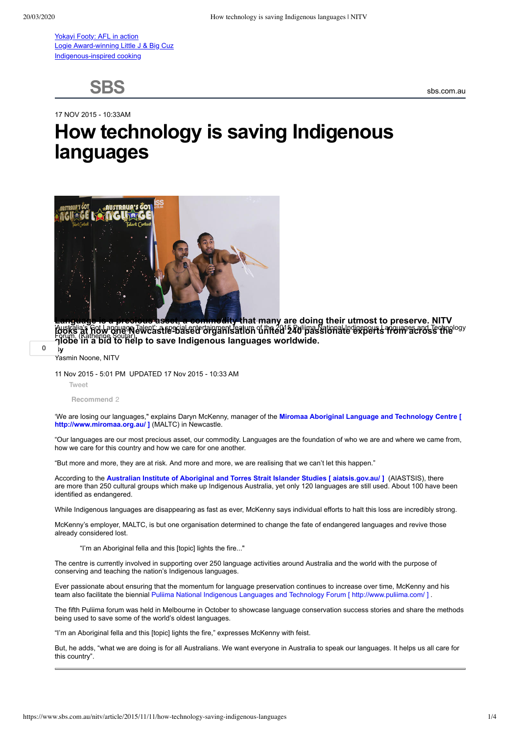[Yokayi Footy: AFL in action](https://www.sbs.com.au/nitv/yokayi-footy) [Logie Award-winning Little J & Big Cuz](https://www.sbs.com.au/nitv/little-j-and-big-cuz) [Indigenous-inspired cooking](https://www.sbs.com.au/nitv/food)

**SBS**

sbs.com.au

17 NOV 2015 - 10:33AM

## **How technology is saving Indigenous languages**



<u>Kusik</u>ilais Got Lapquago Talent st**ie sta sete organisativn** of the 2012 Rullipas Sational Louisepens streinpes and Technelogy Forum. (Katherine Soutar) **globe in a bid to help to save Indigenous languages worldwide.** ity that many are doing their utmost to preserve. NITV

**0**

**By**

## Yasmin Noone, NITV

11 Nov 2015 - 5:01 PM UPDATED 17 Nov 2015 - 10:33 AM

[Tweet](https://twitter.com/intent/tweet?original_referer=https%3A%2F%2Fwww.sbs.com.au%2Fnitv%2Farticle%2F2015%2F11%2F11%2Fhow-technology-saving-indigenous-languages&ref_src=twsrc%5Etfw&text=How%20technology%20is%20saving%20Indigenous%20languages%20%7C%20NITV&tw_p=tweetbutton&url=https%3A%2F%2Fwww.sbs.com.au%2Fnitv%2Farticle%2F2015%2F11%2F11%2Fhow-technology-saving-indigenous-languages&via=NITV)

**Recommend** 2

['We are losing our languages," explains Daryn McKenny, manager of the](http://www.miromaa.org.au/) **Miromaa Aboriginal Language and Technology Centre [ http://www.miromaa.org.au/ ]** (MALTC) in Newcastle.

"Our languages are our most precious asset, our commodity. Languages are the foundation of who we are and where we came from, how we care for this country and how we care for one another.

"But more and more, they are at risk. And more and more, we are realising that we can't let this happen."

According to the **[Australian Institute of Aboriginal and Torres Strait Islander Studies \[ aiatsis.gov.au/ \]](https://www.sbs.com.au/nitv/article/2015/11/11/aiatsis.gov.au/)** (AIASTSIS), there are more than 250 cultural groups which make up Indigenous Australia, yet only 120 languages are still used. About 100 have been identified as endangered.

While Indigenous languages are disappearing as fast as ever, McKenny says individual efforts to halt this loss are incredibly strong.

McKenny's employer, MALTC, is but one organisation determined to change the fate of endangered languages and revive those already considered lost.

"I'm an Aboriginal fella and this [topic] lights the fire..."

The centre is currently involved in supporting over 250 language activities around Australia and the world with the purpose of conserving and teaching the nation's Indigenous languages.

Ever passionate about ensuring that the momentum for language preservation continues to increase over time, McKenny and his team also facilitate the biennial [Puliima National Indigenous Languages and Technology Forum \[ http://www.puliima.com/ \]](http://www.puliima.com/) .

The fifth Puliima forum was held in Melbourne in October to showcase language conservation success stories and share the methods being used to save some of the world's oldest languages.

"I'm an Aboriginal fella and this [topic] lights the fire," expresses McKenny with feist.

But, he adds, "what we are doing is for all Australians. We want everyone in Australia to speak our languages. It helps us all care for this country".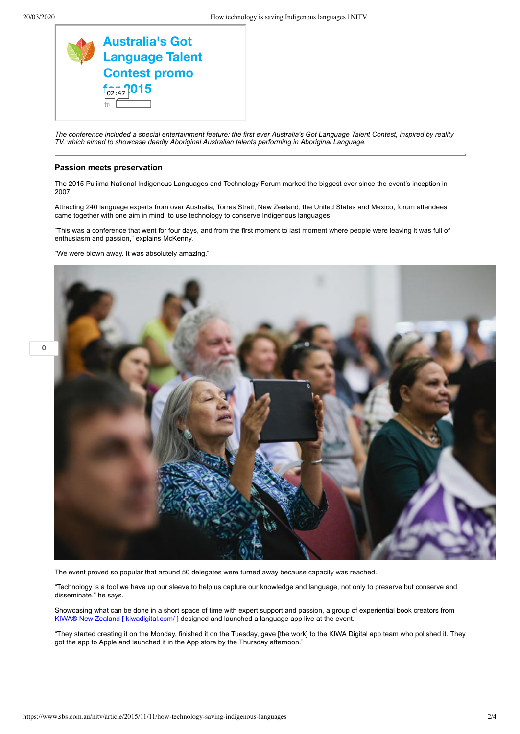

*The conference included a special entertainment feature: the first ever Australia's Got Language Talent Contest, inspired by reality TV, which aimed to showcase deadly Aboriginal Australian talents performing in Aboriginal Language.*

## **Passion meets preservation**

The 2015 Puliima National Indigenous Languages and Technology Forum marked the biggest ever since the event's inception in 2007.

Attracting 240 language experts from over Australia, Torres Strait, New Zealand, the United States and Mexico, forum attendees came together with one aim in mind: to use technology to conserve Indigenous languages.

"This was a conference that went for four days, and from the first moment to last moment where people were leaving it was full of enthusiasm and passion," explains McKenny.

"We were blown away. It was absolutely amazing."



The event proved so popular that around 50 delegates were turned away because capacity was reached.

"Technology is a tool we have up our sleeve to help us capture our knowledge and language, not only to preserve but conserve and disseminate," he says.

Showcasing what can be done in a short space of time with expert support and passion, a group of experiential book creators from [KIWA® New Zealand \[ kiwadigital.com/ \] d](https://www.sbs.com.au/nitv/article/2015/11/11/kiwadigital.com/)esigned and launched a language app live at the event.

"They started creating it on the Monday, finished it on the Tuesday, gave [the work] to the KIWA Digital app team who polished it. They got the app to Apple and launched it in the App store by the Thursday afternoon."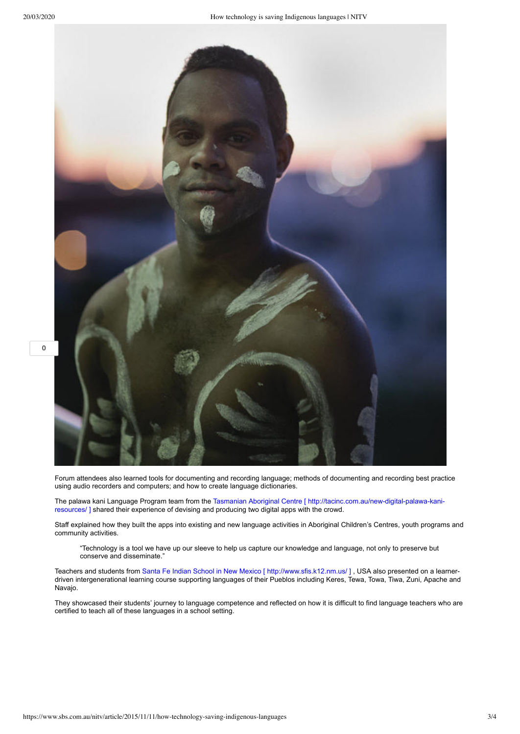

Forum attendees also learned tools for documenting and recording language; methods of documenting and recording best practice using audio recorders and computers; and how to create language dictionaries.

[The palawa kani Language Program team from the Tasmanian Aboriginal Centre \[ http://tacinc.com.au/new-digital-palawa-kani](http://tacinc.com.au/new-digital-palawa-kani-resources/)resources/ ] shared their experience of devising and producing two digital apps with the crowd.

Staff explained how they built the apps into existing and new language activities in Aboriginal Children's Centres, youth programs and community activities.

"Technology is a tool we have up our sleeve to help us capture our knowledge and language, not only to preserve but conserve and disseminate."

Teachers and students from Santa Fe Indian School in New Mexico [ http://www.sfis.k12.nm.us/ ], USA also presented on a learnerdriven intergenerational learning course supporting languages of their Pueblos including Keres, Tewa, Towa, Tiwa, Zuni, Apache and Navajo.

They showcased their students' journey to language competence and reflected on how it is difficult to find language teachers who are certified to teach all of these languages in a school setting.

**0**